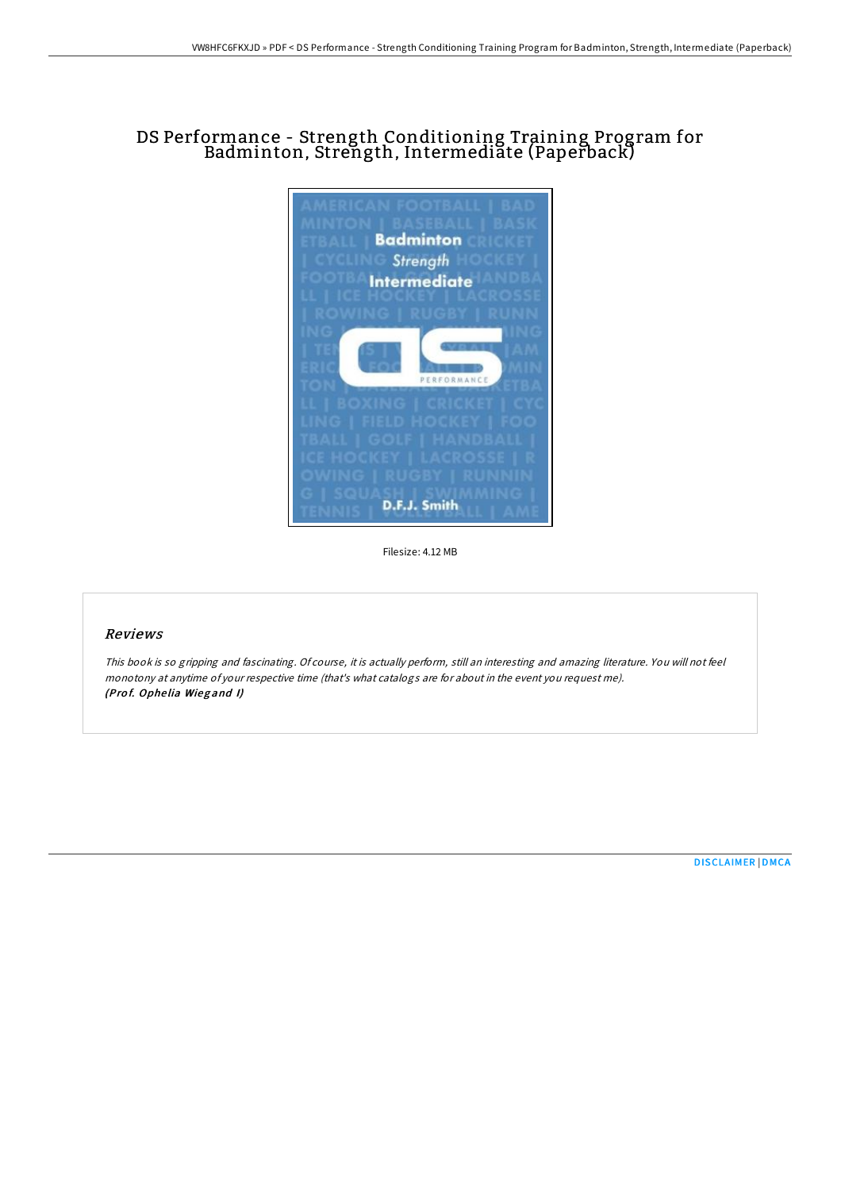# DS Performance - Strength Conditioning Training Program for Badminton, Strength, Intermediate (Paperback)



Filesize: 4.12 MB

#### Reviews

This book is so gripping and fascinating. Of course, it is actually perform, still an interesting and amazing literature. You will not feel monotony at anytime of your respective time (that's what catalogs are for about in the event you request me). (Prof. Ophelia Wiegand I)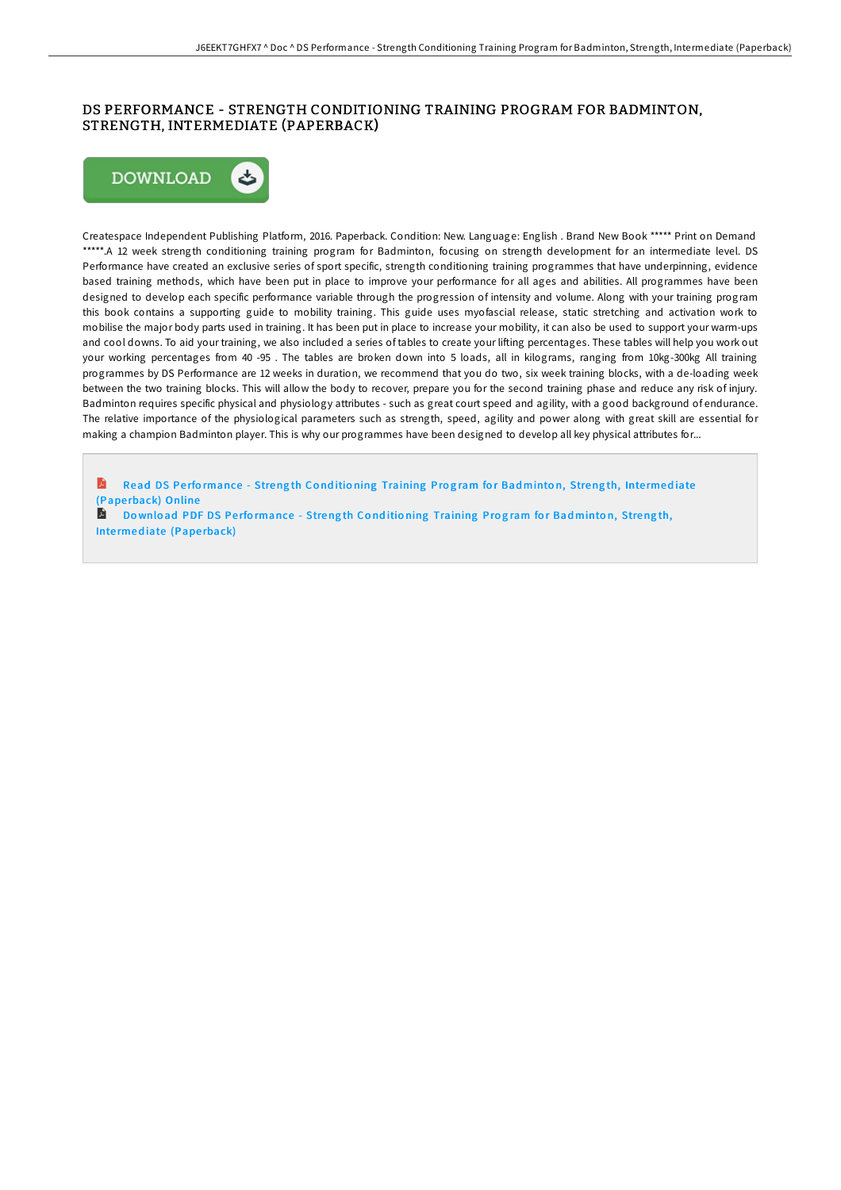## DS PERFORMANCE - STRENGTH CONDITIONING TRAINING PROGRAM FOR BADMINTON, STRENGTH, INTERMEDIATE (PAPERBACK)



Createspace Independent Publishing Platform, 2016. Paperback. Condition: New. Language: English . Brand New Book \*\*\*\*\* Print on Demand \*\*\*\*\*.A 12 week strength conditioning training program for Badminton, focusing on strength development for an intermediate level. DS Performance have created an exclusive series of sport specific, strength conditioning training programmes that have underpinning, evidence based training methods, which have been put in place to improve your performance for all ages and abilities. All programmes have been designed to develop each specific performance variable through the progression of intensity and volume. Along with your training program this book contains a supporting guide to mobility training. This guide uses myofascial release, static stretching and activation work to mobilise the major body parts used in training. It has been put in place to increase your mobility, it can also be used to support your warm-ups and cool downs. To aid your training, we also included a series of tables to create your lifting percentages. These tables will help you work out your working percentages from 40 -95 . The tables are broken down into 5 loads, all in kilograms, ranging from 10kg-300kg All training programmes by DS Performance are 12 weeks in duration, we recommend that you do two, six week training blocks, with a de-loading week between the two training blocks. This will allow the body to recover, prepare you for the second training phase and reduce any risk of injury. Badminton requires specific physical and physiology attributes - such as great court speed and agility, with a good background of endurance. The relative importance of the physiological parameters such as strength, speed, agility and power along with great skill are essential for making a champion Badminton player. This is why our programmes have been designed to develop all key physical attributes for...

Read DS Performance - Strength Conditioning [Training](http://almighty24.tech/ds-performance-strength-conditioning-training-pr-13.html) Program for Badminton, Strength, Intermediate (Pape rback) Online

A Download PDF DS Performance - Strength Conditioning [Training](http://almighty24.tech/ds-performance-strength-conditioning-training-pr-13.html) Program for Badminton, Strength, Intermediate (Paperback)